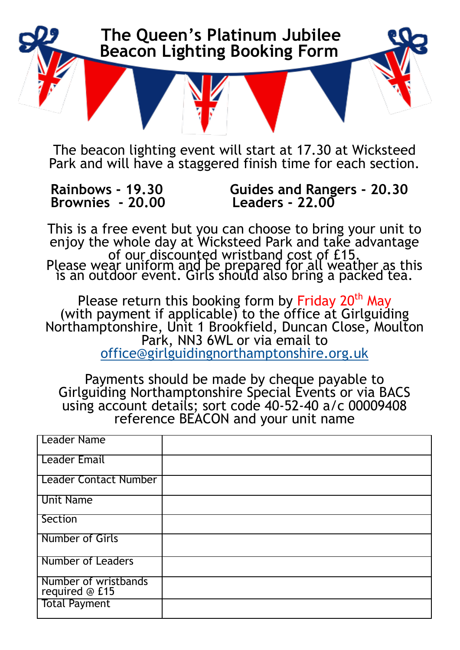

The beacon lighting event will start at 17.30 at Wicksteed Park and will have a staggered finish time for each section.

 **Brownies - 20.00 Leaders - 22.00** 

**Rainbows - 19.30 Guides and Rangers - 20.30**

This is a free event but you can choose to bring your unit to enjoy the whole day at Wicksteed Park and take advantage of our discounted wristband cost of £15. Please wear uniform and be prepared for all weather as this is an outdoor event. Girls should also bring a packed tea.

Please return this booking form by Friday 20<sup>th</sup> May (with payment if applicable) to the office at Girlguiding Northamptonshire, Unit 1 Brookfield, Duncan Close, Moulton Park, NN3 6WL or via email to [office@girlguidingnorthamptonshire.org.uk](mailto:office@girlguidingnorthamptonshire.org.uk)

Payments should be made by cheque payable to Girlguiding Northamptonshire Special Events or via BACS using account details; sort code 40-52-40 a/c 00009408 reference BEACON and your unit name

| Leader Name                            |  |
|----------------------------------------|--|
| <b>Leader Email</b>                    |  |
| <b>Leader Contact Number</b>           |  |
| <b>Unit Name</b>                       |  |
| Section                                |  |
| <b>Number of Girls</b>                 |  |
| <b>Number of Leaders</b>               |  |
| Number of wristbands<br>required @ £15 |  |
| <b>Total Payment</b>                   |  |